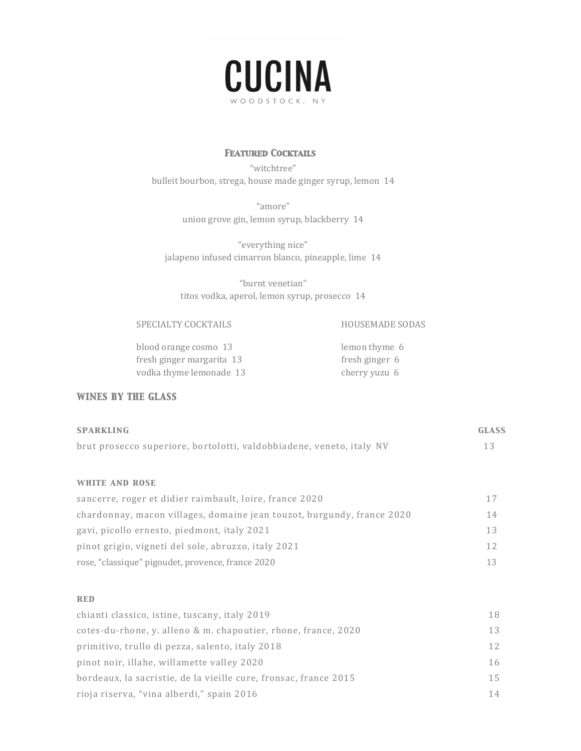

### *Featured Cocktails*

"witchtree" bulleit bourbon, strega, house made ginger syrup, lemon 14

> "amore" union grove gin, lemon syrup, blackberry 14

"everything nice" jalapeno infused cimarron blanco, pineapple, lime 14

"burnt venetian" titos vodka, aperol, lemon syrup, prosecco 14

SPECIALTY COCKTAILS HOUSEMADE SODAS

blood orange cosmo 13 lemon thyme 6 fresh ginger margarita 13 fresh ginger 6 vodka thyme lemonade 13 cherry yuzu 6

## *WINES BY THE GLASS*

| <b>SPARKLING</b>                                                       | <b>GLASS</b> |
|------------------------------------------------------------------------|--------------|
| brut prosecco superiore, bortolotti, valdobbiadene, veneto, italy NV   | 13           |
| <b>WHITE AND ROSE</b>                                                  |              |
| sancerre, roger et didier raimbault, loire, france 2020                | 17           |
| chardonnay, macon villages, domaine jean touzot, burgundy, france 2020 | 14           |
| gavi, picollo ernesto, piedmont, italy 2021                            | 13           |
| pinot grigio, vigneti del sole, abruzzo, italy 2021                    | 12           |
| rose, "classique" pigoudet, provence, france 2020                      | 13           |

#### *red*

| chianti classico, istine, tuscany, italy 2019                    | 18              |
|------------------------------------------------------------------|-----------------|
| cotes-du-rhone, y. alleno & m. chapoutier, rhone, france, 2020   | 13              |
| primitivo, trullo di pezza, salento, italy 2018                  | 12 <sup>°</sup> |
| pinot noir, illahe, willamette valley 2020                       | 16              |
| bordeaux, la sacristie, de la vieille cure, fronsac, france 2015 | 15              |
| rioja riserva, "vina alberdi," spain 2016                        | 14              |